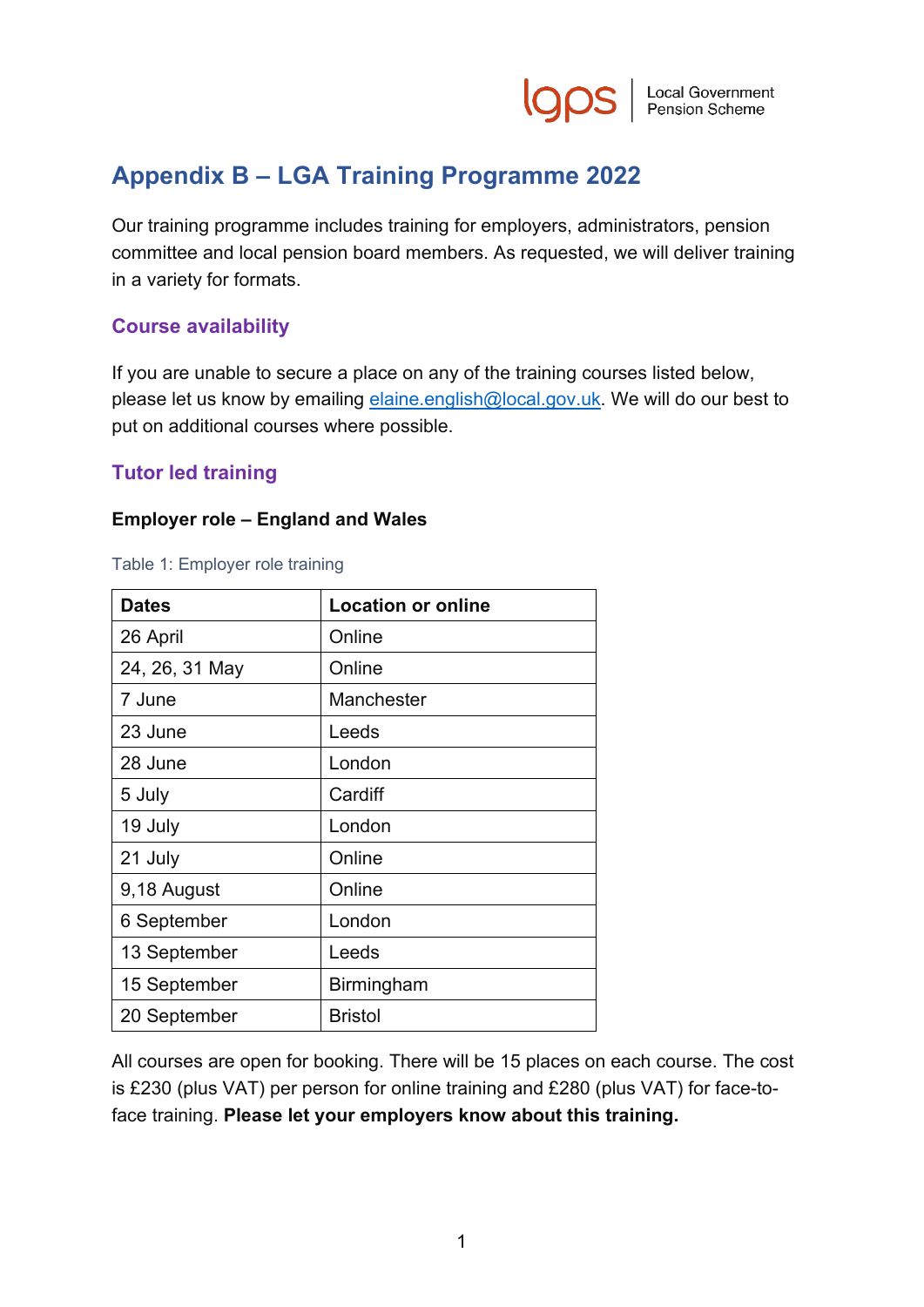

# **Appendix B – LGA Training Programme 2022**

Our training programme includes training for employers, administrators, pension committee and local pension board members. As requested, we will deliver training in a variety for formats.

## **Course availability**

If you are unable to secure a place on any of the training courses listed below, please let us know by emailing [elaine.english@local.gov.uk.](mailto:elaine.english@local.gov.uk) We will do our best to put on additional courses where possible.

# **Tutor led training**

### **Employer role – England and Wales**

|  |  | Table 1: Employer role training |
|--|--|---------------------------------|
|--|--|---------------------------------|

| <b>Dates</b>   | <b>Location or online</b> |
|----------------|---------------------------|
| 26 April       | Online                    |
| 24, 26, 31 May | Online                    |
| 7 June         | Manchester                |
| 23 June        | Leeds                     |
| 28 June        | London                    |
| 5 July         | Cardiff                   |
| 19 July        | London                    |
| 21 July        | Online                    |
| 9,18 August    | Online                    |
| 6 September    | London                    |
| 13 September   | Leeds                     |
| 15 September   | <b>Birmingham</b>         |
| 20 September   | <b>Bristol</b>            |

All courses are open for booking. There will be 15 places on each course. The cost is £230 (plus VAT) per person for online training and £280 (plus VAT) for face-toface training. **Please let your employers know about this training.**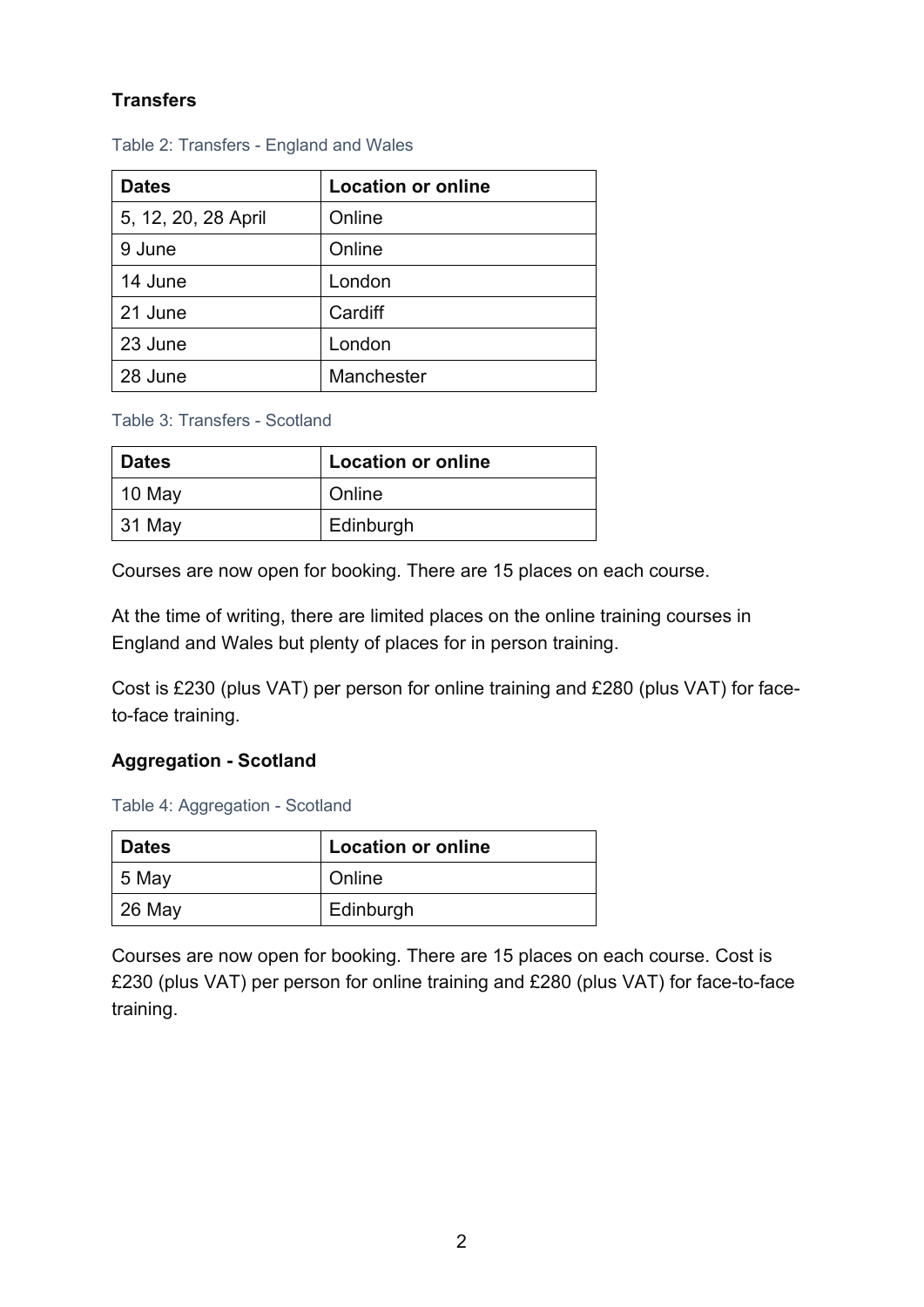# **Transfers**

| <b>Dates</b>        | <b>Location or online</b> |
|---------------------|---------------------------|
| 5, 12, 20, 28 April | Online                    |
| 9 June              | Online                    |
| 14 June             | London                    |
| 21 June             | Cardiff                   |
| 23 June             | London                    |
| 28 June             | Manchester                |

Table 2: Transfers - England and Wales

Table 3: Transfers - Scotland

| <b>Dates</b> | <b>Location or online</b> |
|--------------|---------------------------|
| 10 May       | Online                    |
| $ 31$ May    | Edinburgh                 |

Courses are now open for booking. There are 15 places on each course.

At the time of writing, there are limited places on the online training courses in England and Wales but plenty of places for in person training.

Cost is £230 (plus VAT) per person for online training and £280 (plus VAT) for faceto-face training.

### **Aggregation - Scotland**

Table 4: Aggregation - Scotland

| <b>Dates</b> | <b>Location or online</b> |
|--------------|---------------------------|
| 5 May        | Online                    |
| $26$ May     | Edinburgh                 |

Courses are now open for booking. There are 15 places on each course. Cost is £230 (plus VAT) per person for online training and £280 (plus VAT) for face-to-face training.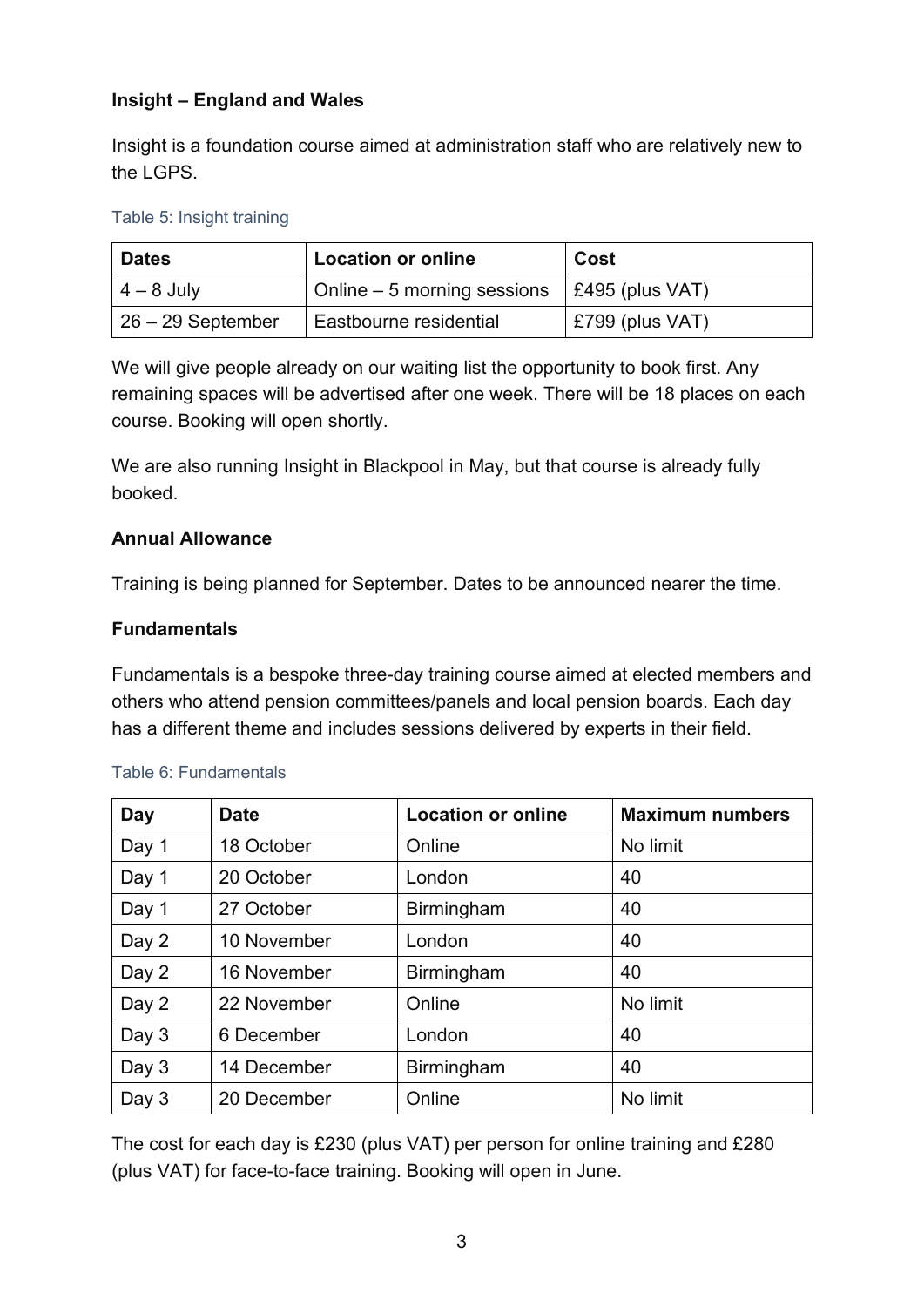# **Insight – England and Wales**

Insight is a foundation course aimed at administration staff who are relatively new to the LGPS.

#### Table 5: Insight training

| <b>Dates</b>        | <b>Location or online</b>    | Cost                    |
|---------------------|------------------------------|-------------------------|
| $4 - 8$ July        | Online $-5$ morning sessions | $\vert$ £495 (plus VAT) |
| $26 - 29$ September | Eastbourne residential       | $E799$ (plus VAT)       |

We will give people already on our waiting list the opportunity to book first. Any remaining spaces will be advertised after one week. There will be 18 places on each course. Booking will open shortly.

We are also running Insight in Blackpool in May, but that course is already fully booked.

### **Annual Allowance**

Training is being planned for September. Dates to be announced nearer the time.

### **Fundamentals**

Fundamentals is a bespoke three-day training course aimed at elected members and others who attend pension committees/panels and local pension boards. Each day has a different theme and includes sessions delivered by experts in their field.

| <b>Day</b> | <b>Date</b> | <b>Location or online</b> | <b>Maximum numbers</b> |
|------------|-------------|---------------------------|------------------------|
| Day 1      | 18 October  | Online                    | No limit               |
| Day 1      | 20 October  | London                    | 40                     |
| Day 1      | 27 October  | <b>Birmingham</b>         | 40                     |
| Day 2      | 10 November | London                    | 40                     |
| Day 2      | 16 November | Birmingham                | 40                     |
| Day 2      | 22 November | Online                    | No limit               |
| Day 3      | 6 December  | London                    | 40                     |
| Day 3      | 14 December | <b>Birmingham</b>         | 40                     |
| Day 3      | 20 December | Online                    | No limit               |

#### Table 6: Fundamentals

The cost for each day is £230 (plus VAT) per person for online training and £280 (plus VAT) for face-to-face training. Booking will open in June.